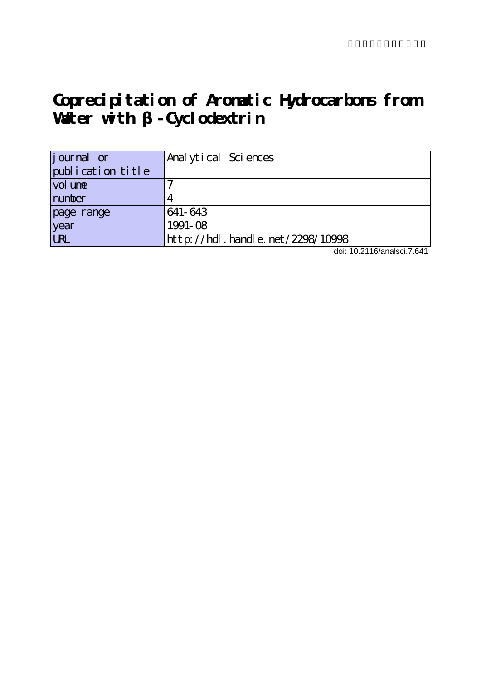# **Coprecipitation of Aromatic Hydrocarbons from** Water with - Cyclodextrin

| <i>j</i> ournal or | Anal ytical Sciences             |
|--------------------|----------------------------------|
| publication title  |                                  |
| vol une            |                                  |
| number             |                                  |
| page range         | 641-643                          |
| year               | $1991 - 08$                      |
| URL                | http://hdl.handle.net/2298/10998 |

doi: 10.2116/analsci.7.641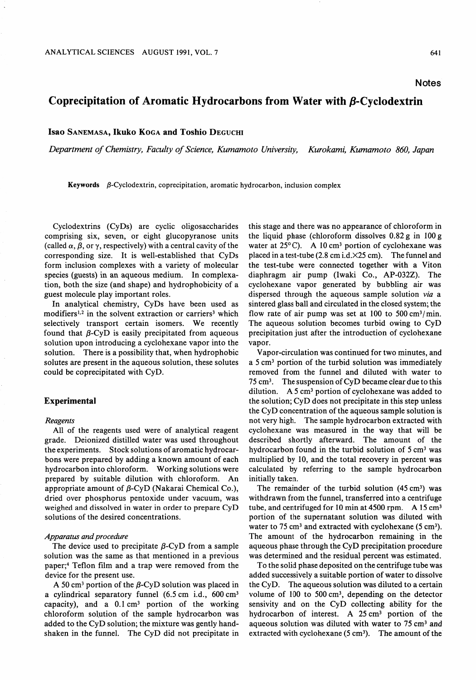**Notes** 

# Coprecipitation of Aromatic Hydrocarbons from Water with  $\beta$ -Cyclodextrin

Isao Sanemasa, Ikuko Koga and Toshio Deguchi

Department of Chemistry, Faculty of Science, Kumamoto University, Kurokami, Kumamoto 860, Japan

Keywords  $\beta$ -Cyclodextrin, coprecipitation, aromatic hydrocarbon, inclusion complex

Cyclodextrins (CyDs) are cyclic oligosaccharides comprising six, seven, or eight glucopyranose units (called  $\alpha$ ,  $\beta$ , or  $\gamma$ , respectively) with a central cavity of the corresponding size. It is well-established that CyDs form inclusion complexes with a variety of molecular species (guests) in an aqueous medium. In complexation, both the size (and shape) and hydrophobicity of guest molecule play important roles.

In analytical chemistry, CyDs have been used as modifiers<sup>1,2</sup> in the solvent extraction or carriers<sup>3</sup> which selectively transport certain isomers. We recently found that  $\beta$ -CyD is easily precipitated from aqueous solution upon introducing a cyclohexane vapor into the solution. There is a possibility that, when hydrophobic solutes are present in the aqueous solution, these solutes could be coprecipitated with CyD.

## Experimental

#### Reagents

All of the reagents used were of analytical reagent grade. Deionized distilled water was used throughout the experiments. Stock solutions of aromatic hydrocar bons were prepared by adding a known amount of each hydrocarbon into chloroform. Working solutions were prepared by suitable dilution with chloroform. An appropriate amount of  $\beta$ -CyD (Nakarai Chemical Co.), dried over phosphorus pentoxide under vacuum, was weighed and dissolved in water in order to prepare CyD solutions of the desired concentrations.

## Apparatus and procedure

The device used to precipitate  $\beta$ -CyD from a sample solution was the same as that mentioned in a previous paper;<sup>4</sup> Teflon film and a trap were removed from the device for the present use.

A 50 cm<sup>3</sup> portion of the  $\beta$ -CyD solution was placed in a cylindrical separatory funnel (6.5 cm i.d.,  $600 \text{ cm}^3$ capacity), and a  $0.1 \text{ cm}^3$  portion of the working chloroform solution of the sample hydrocarbon was added to the CyD solution; the mixture was gently handshaken in the funnel. The CyD did not precipitate in this stage and there was no appearance of chloroform in the liquid phase (chloroform dissolves  $0.82 g$  in  $100 g$ water at  $25^{\circ}$ C). A 10 cm<sup>3</sup> portion of cyclohexane was placed in a test-tube (2.8 cm i.d. $\times$ 25 cm). The funnel and the test-tube were connected together with a Viton diaphragm air pump (Iwaki Co., AP-032Z). The cyclohexane vapor generated by bubbling air was dispersed through the aqueous sample solution via a sintered glass ball and circulated in the closed system; the flow rate of air pump was set at 100 to 500  $\text{cm}^3/\text{min}$ . The aqueous solution becomes turbid owing to CyD precipitation just after the introduction of cyclohexane vapor.

Vapor-circulation was continued for two minutes, and a  $5 \text{ cm}^3$  portion of the turbid solution was immediately removed from the funnel and diluted with water to <sup>75</sup> cm3. The suspension of CyD became clear due to this dilution.  $A_5$  cm<sup>3</sup> portion of cyclohexane was added to the solution; CyD does not precipitate in this step unless the CyD concentration of the aqueous sample solution is not very high. The sample hydrocarbon extracted with cyclohexane was measured in the way that will be described shortly afterward. The amount of the hydrocarbon found in the turbid solution of  $5 \text{ cm}^3$  was multiplied by 10, and the total recovery in percent was calculated by referring to the sample hydrocarbon initially taken.

The remainder of the turbid solution  $(45 \text{ cm}^3)$  was withdrawn from the funnel, transferred into a centrifuge tube, and centrifuged for 10 min at 4500 rpm.  $A$  15 cm<sup>3</sup> portion of the supernatant solution was diluted with water to 75 cm<sup>3</sup> and extracted with cyclohexane (5 cm<sup>3</sup>). The amount of the hydrocarbon remaining in the aqueous phase through the CyD precipitation procedure was determined and the residual percent was estimated.

To the solid phase deposited on the centrifuge tube was added successively a suitable portion of water to dissolve the  $CvD$ . The aqueous solution was diluted to a certain volume of 100 to 500 cm3, depending on the detector sensivity and on the CyD collecting ability for the hydrocarbon of interest. A  $25 \text{ cm}^3$  portion of the aqueous solution was diluted with water to 75 cm<sup>3</sup> and extracted with cyclohexane  $(5 \text{ cm}^3)$ . The amount of the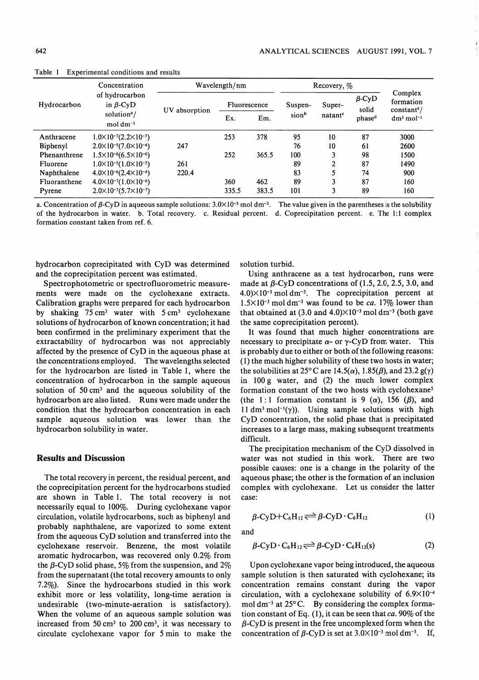| Hydrocarbon  | Concentration<br>of hydrocarbon<br>in $\beta$ -CyD<br>solution <sup>a</sup> /<br>mol $dm^{-3}$ | Wavelength/nm     |              |       | Recovery, % |                     |                       |                                       |
|--------------|------------------------------------------------------------------------------------------------|-------------------|--------------|-------|-------------|---------------------|-----------------------|---------------------------------------|
|              |                                                                                                | UV.<br>absorption | Fluorescence |       | Suspen-     | Super-              | $\beta$ -CyD<br>solid | Complex<br>formation<br>$constant^e/$ |
|              |                                                                                                |                   | Ex.          | Em.   | sionb       | natant <sup>c</sup> | phase <sup>d</sup>    | $dm^3$ mol <sup>-1</sup>              |
| Anthracene   | $1.0\times10^{-7}(2.2\times10^{-7})$                                                           |                   | 253          | 378   | 95          | 10                  | 87                    | 3000                                  |
| Biphenyl     | $2.0\times10^{-5}(7.0\times10^{-4})$                                                           | 247               |              |       | 76          | 10                  | 61                    | 2600                                  |
| Phenanthrene | $1.5\times10^{-6}(6.5\times10^{-6})$                                                           |                   | 252          | 365.5 | 100         | 3                   | 98                    | 1500                                  |
| Fluorene     | $1.0\times10^{-5}(1.0\times10^{-5})$                                                           | 261               |              |       | 89          | 2                   | 87                    | 1490                                  |
| Naphthalene  | $4.0\times10^{-6}(2.4\times10^{-4})$                                                           | 220.4             |              |       | 83          | 5                   | 74                    | 900                                   |
| Fluoranthene | $4.0\times10^{-7}(1.0\times10^{-6})$                                                           |                   | 360          | 462   | 89          | 3                   | 87                    | 160                                   |
| Pyrene       | $2.0\times10^{-7}(5.7\times10^{-7})$                                                           |                   | 335.5        | 383.5 | 101         | 3                   | 89                    | 160                                   |

Table 1 Experimental conditions and results

a. Concentration of  $\beta$ -CyD in aqueous sample solutions:  $3.0 \times 10^{-3}$  mol dm<sup>-3</sup>. The value given in the parentheses is the solubility of the hydrocarbon in water, b. Total recovery, c. Residual percent, d. Coprecipitation percent, e. The 1:1 complex formation constant taken from ref. 6.

hydrocarbon coprecipitated with CyD was determined and the coprecipitation percent was estimated.

Spectrophotometric or spectrofluorometric measure ments were made on the cyclohexane extracts. Calibration graphs were prepared for each hydrocarbon by shaking  $75 \text{ cm}^3$  water with  $5 \text{ cm}^3$  cyclohexane solutions of hydrocarbon of known concentration; it had been confirmed in the preliminary experiment that the extractability of hydrocarbon was not appreciably affected by the presence of CyD in the aqueous phase at the concentrations employed. The wavelengths selected for the hydrocarbon are listed in Table 1, where the concentration of hydrocarbon in the sample aqueous solution of 50 cm3 and the aqueous solubility of the hydrocarbon are also listed. Runs were made under the condition that the hydrocarbon concentration in each sample aqueous solution was lower than the hydrocarbon solubility in water.

# Results and Discussion

The total recovery in percent, the residual percent, and the coprecipitation percent for the hydrocarbons studied are shown in Table 1. The total recovery is not necessarily equal to 100%. During cyclohexane vapor circulation, volatile hydrocarbons, such as biphenyl and probably naphthalene, are vaporized to some extent from the aqueous CyD solution and transferred into the cyclohexane reservoir. Benzene, the most volatile aromatic hydrocarbon, was recovered only 0.2% from the  $\beta$ -CyD solid phase, 5% from the suspension, and 2% from the supernatant (the total recovery amounts to only 7.2%). Since the hydrocarbons studied in this work exhibit more or less volatility, long-time aeration is undesirable (two-minute-aeration is satisfactory). When the volume of an aqueous sample solution was increased from 50 cm3 to 200 cm3, it was necessary to circulate cyclohexane vapor for 5 min to make the

solution turbid.

Using anthracene as a test hydrocarbon, runs were made at  $\beta$ -CyD concentrations of (1.5, 2.0, 2.5, 3.0, and  $4.0$ ) $\times$ 10<sup>-3</sup> moldm<sup>-3</sup>. The coprecipitation percent at  $1.5 \times 10^{-3}$  mol dm<sup>-3</sup> was found to be ca. 17% lower than that obtained at  $(3.0 \text{ and } 4.0) \times 10^{-3} \text{ mol dm}^{-3}$  (both gave the same coprecipitation percent).

It was found that much higher concentrations are necessary to precipitate  $\alpha$ - or  $\gamma$ -CyD from water. This is probably due to either or both of the following reasons: (1) the much higher solubility of these two hosts in water; the solubilities at 25°C are 14.5( $\alpha$ ), 1.85( $\beta$ ), and 23.2 g( $\gamma$ ) in 100 water, and (2) the much lower complex formation constant of the two hosts with cyclohexane5 (the 1:1 formation constant is 9  $(\alpha)$ , 156  $(\beta)$ , and 11 dm<sup>3</sup> mol<sup>-1</sup>( $\gamma$ )). Using sample solutions with high CyD concentration, the solid phase that is precipitated increases to a large mass, making subsequent treatments difficult.

The precipitation mechanism of the CyD dissolved in water was not studied in this work. There are two possible causes: one is a change in the polarity of the aqueous phase; the other is the formation of an inclusion complex with cyclohexane. Let us consider the latter case:

$$
\beta\text{-}CyD\text{+}C_6H_{12} \rightleftharpoons \beta\text{-}CyD\cdot C_6H_{12} \tag{1}
$$

and

$$
\beta-CyD \cdot C_6H_{12} \rightleftharpoons \beta-CyD \cdot C_6H_{12}(s) \tag{2}
$$

Upon cyclohexane vapor being introduced, the aqueous sample solution is then saturated with cyclohexane; its concentration remains constant during the vapor circulation, with a cyclohexane solubility of  $6.9\times10^{-4}$ mol dm<sup>-3</sup> at  $25^{\circ}$ C. By considering the complex formation constant of Eq.  $(1)$ , it can be seen that ca. 90% of the  $\beta$ -CyD is present in the free uncomplexed form when the concentration of  $\beta$ -CyD is set at 3.0×10<sup>-3</sup> mol dm<sup>-3</sup>. If,